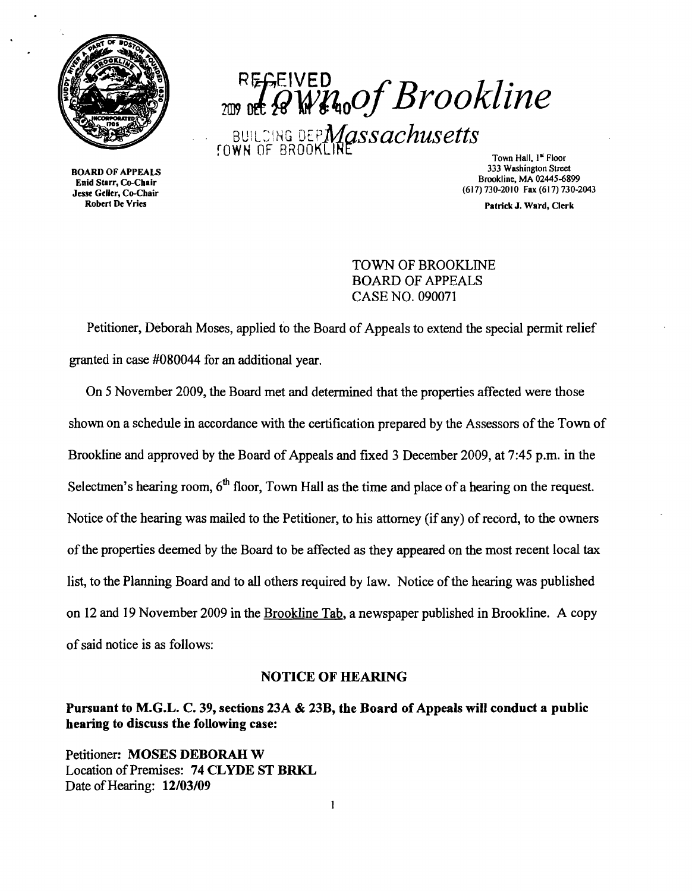

Enid Starr, Co-Chair<br>Jesse Geller, Co-Chair

*REGEIVED ZWWMoOf Brookline* BUILDING DEP**Massachusetts**<br> **FOWN** OF BROOKLINE TOWN TOWN Nall, 1<sup>4</sup> Floor

333 Washington Street 333 Washington Street 333 Washington Street<br>Enid Starr Co-Chair (617) 730-2010 Fax (617) 730-2043<br>see Geller, Co-Chair<br>Robert De Vries

Patrick J. Ward, Clerk

TOWN OF BROOKLINE BOARD OF APPEALS CASE NO. 090071

Petitioner, Deborah Moses, applied to the Board of Appeals to extend the special permit relief granted in case #080044 for an additional year.

On 5 November 2009, the Board met and determined that the properties affected were those shown on a schedule in accordance with the certification prepared by the Assessors of the Town of Brookline and approved by the Board of Appeals and fixed 3 December 2009, at 7:45 p.m. in the Selectmen's hearing room,  $6<sup>th</sup>$  floor, Town Hall as the time and place of a hearing on the request. Notice of the hearing was mailed to the Petitioner, to his attorney (if any) of record, to the owners ofthe properties deemed by the Board to be affected as they appeared on the most recent local tax list, to the Planning Board and to all others required by law. Notice of the hearing was published on 12 and 19 November 2009 in the Brookline Tab, a newspaper published in Brookline. A copy ofsaid notice is as follows:

## NOTICE OF HEARING

Pursuant to M.G.L. C. 39, sections 23A & 23B, the Board of Appeals will conduct a public hearing to discuss the following case:

Petitioner: MOSES DEBORAH W Location of Premises: 74 CLYDE ST BRKL Date of Hearing: 12/03/09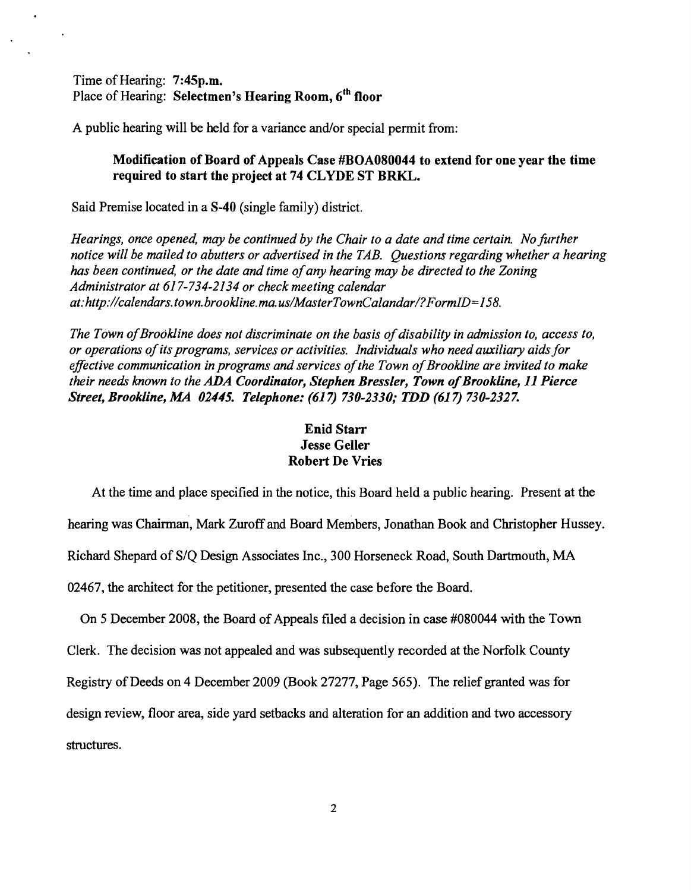Time of Hearing: 7:45p.m. Place of Hearing: Selectmen's Hearing Room, 6<sup>th</sup> floor

A public hearing will be held for a variance and/or special permit from:

## Modification of Board of Appeals Case #BOA080044 to extend for one year the time required to start the project at 74 CLYDE ST BRKL.

Said Premise located in a 8-40 (single family) district.

*Hearings, once opened, may be continued by the Chair to a date and time certain. No further notice will be mailed to abutters or advertised in the TAB. Questions regarding whether a hearing has been continued, or the date and time of any hearing may be directed to the Zoning Administrator at* 617-734-2134 *or check meeting calendar at:http://calendars.town.brookline.ma.usIMasterTownCalandarl?FormID=158.* 

The Town of Brookline does not discriminate on the basis of disability in admission to, access to, *or operations ofits programs, services or activities. Individuals who need auxiliary aids for*  effective communication in programs and services of the Town of Brookline are invited to make *their needs known to the* ADA *Coordinator, Stephen Bressler, Town ofBrookline,* 11 *Pierce Street, Brookline, MA 02445. Telephone:* (617) *730-2330,. TDD* (617) *730-2327.* 

## Enid Starr Jesse Geller Robert De Vries

At the time and place specified in the notice, this Board held a public hearing. Present at the hearing was Chairman, Mark Zuroff and Board Members, Jonathan Book and Christopher Hussey. Richard Shepard of S/Q Design Associates Inc., 300 Horseneck Road, South Dartmouth, MA 02467, the architect for the petitioner, presented the case before the Board.

On 5 December 2008, the Board of Appeals filed a decision in case #080044 with the Town Clerk. The decision was not appealed and was subsequently recorded at the Norfolk County Registry of Deeds on 4 December 2009 (Book 27277, Page 565). The relief granted was for design review, floor area, side yard setbacks and alteration for an addition and two accessory structures.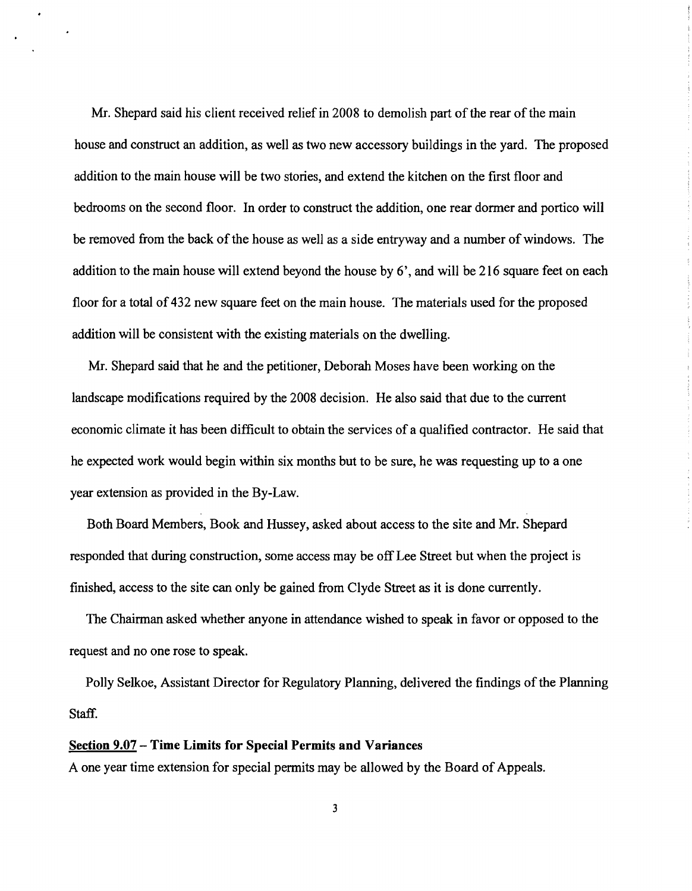Mr. Shepard said his client received relief in 2008 to demolish part of the rear of the main house and construct an addition, as well as two new accessory buildings in the yard. The proposed addition to the main house will be two stories, and extend the kitchen on the first floor and bedrooms on the second floor. In order to construct the addition, one rear dormer and portico will be removed from the back of the house as well as a side entryway and a number of windows. The addition to the main house will extend beyond the house by 6', and will be 216 square feet on each floor for a total of 432 new square feet on the main house. The materials used for the proposed addition will be consistent with the existing materials on the dwelling.

Mr. Shepard said that he and the petitioner, Deborah Moses have been working on the landscape modifications required by the 2008 decision. He also said that due to the current economic climate it has been difficult to obtain the services of a qualified contractor. He said that he expected work would begin within six months but to be sure, he was requesting up to a one year extension as provided in the By-Law.

Both Board Members, Book and Hussey, asked about access to the site and Mr. Shepard responded that during construction, some access may be off Lee Street but when the project is finished, access to the site can only be gained from Clyde Street as it is done currently.

The Chairman asked whether anyone in attendance wished to speak in favor or opposed to the request and no one rose to speak.

Polly Selkoe, Assistant Director for Regulatory Planning, delivered the findings of the Planning Staff.

## Section 9.07 - Time Limits for Special Permits and Variances

A one year time extension for special permits may be allowed by the Board of Appeals.

3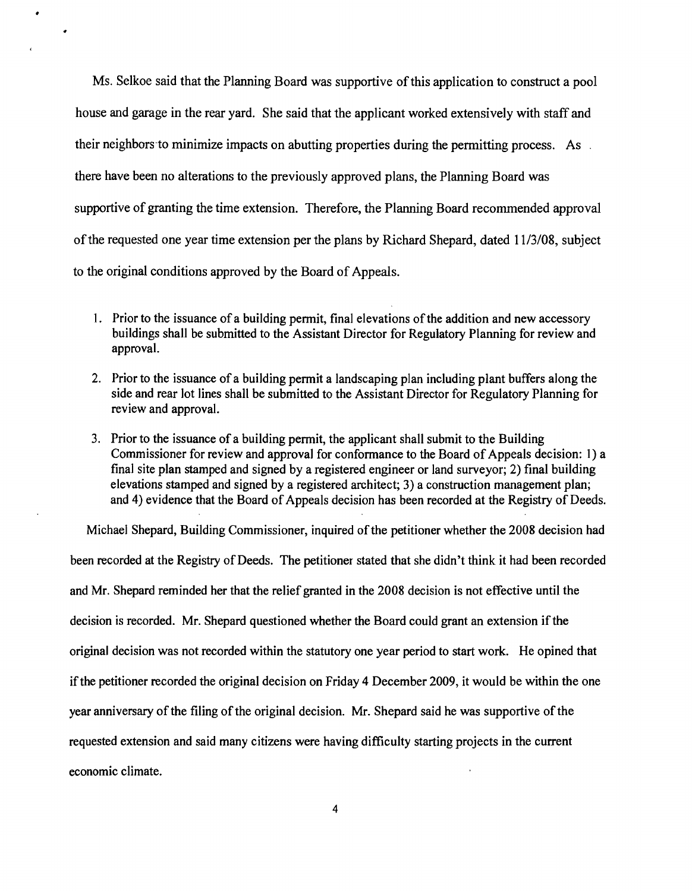Ms. Selkoe said that the Planning Board was supportive of this application to construct a pool house and garage in the rear yard. She said that the applicant worked extensively with staff and their neighbors to minimize impacts on abutting properties during the permitting process. As . there have been no alterations to the previously approved plans, the Planning Board was supportive of granting the time extension. Therefore, the Planning Board recommended approval ofthe requested one year time extension per the plans by Richard Shepard, dated 11/3/08, subject to the original conditions approved by the Board of Appeals.

- 1. Prior to the issuance of a building permit, final elevations of the addition and new accessory buildings shall be submitted to the Assistant Director for Regulatory Planning for review and approval.
- 2. Prior to the issuance of a building permit a landscaping plan including plant buffers along the side and rear lot lines shall be submitted to the Assistant Director for Regulatory Planning for review and approval.
- 3. Prior to the issuance of a building permit, the applicant shall submit to the Building Commissioner for review and approval for conformance to the Board of Appeals decision: I) a final site plan stamped and signed by a registered engineer or land surveyor; 2) final building elevations stamped and signed by a registered architect; 3) a construction management plan; and 4) evidence that the Board of Appeals decision has been recorded at the Registry of Deeds.

Michael Shepard, Building Commissioner, inquired of the petitioner whether the 2008 decision had been recorded at the Registry of Deeds. The petitioner stated that she didn't think it had been recorded and Mr. Shepard reminded her that the relief granted in the 2008 decision is not effective until the decision is recorded. Mr. Shepard questioned whether the Board could grant an extension if the original decision was not recorded within the statutory one year period to start work. He opined that if the petitioner recorded the original decision on Friday 4 December 2009, it would be within the one year anniversary of the filing of the original decision. Mr. Shepard said he was supportive of the requested extension and said many citizens were having difficulty starting projects in the current economic climate.